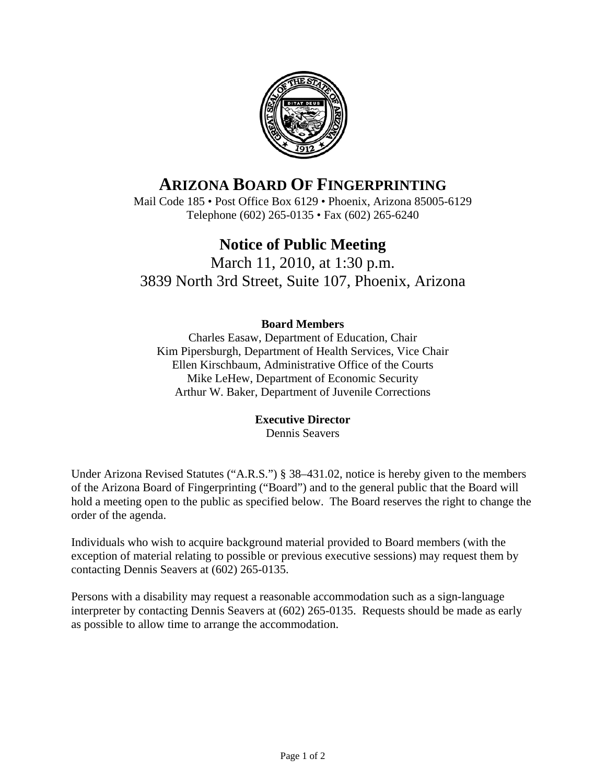

# **ARIZONA BOARD OF FINGERPRINTING**

Mail Code 185 • Post Office Box 6129 • Phoenix, Arizona 85005-6129 Telephone (602) 265-0135 • Fax (602) 265-6240

# **Notice of Public Meeting**

March 11, 2010, at 1:30 p.m. 3839 North 3rd Street, Suite 107, Phoenix, Arizona

# **Board Members**

Charles Easaw, Department of Education, Chair Kim Pipersburgh, Department of Health Services, Vice Chair Ellen Kirschbaum, Administrative Office of the Courts Mike LeHew, Department of Economic Security Arthur W. Baker, Department of Juvenile Corrections

## **Executive Director**

Dennis Seavers

Under Arizona Revised Statutes ("A.R.S.") § 38–431.02, notice is hereby given to the members of the Arizona Board of Fingerprinting ("Board") and to the general public that the Board will hold a meeting open to the public as specified below. The Board reserves the right to change the order of the agenda.

Individuals who wish to acquire background material provided to Board members (with the exception of material relating to possible or previous executive sessions) may request them by contacting Dennis Seavers at (602) 265-0135.

Persons with a disability may request a reasonable accommodation such as a sign-language interpreter by contacting Dennis Seavers at (602) 265-0135. Requests should be made as early as possible to allow time to arrange the accommodation.